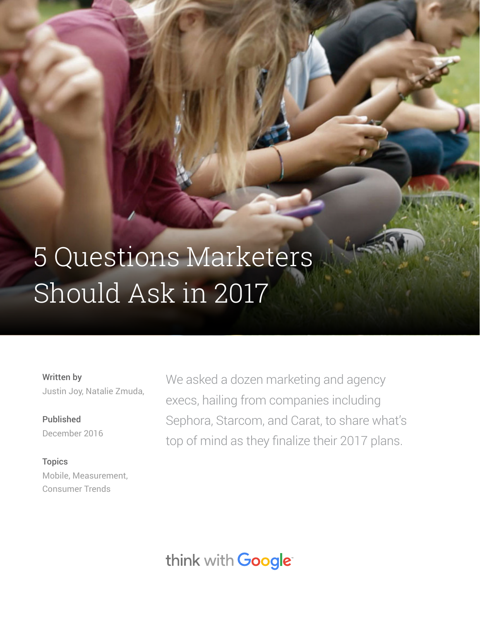# 5 Questions Marketers Should Ask in 2017

Written by Justin Joy, Natalie Zmuda,

Published December 2016

**Topics** Mobile, Measurement, Consumer Trends

We asked a dozen marketing and agency execs, hailing from companies including Sephora, Starcom, and Carat, to share what's top of mind as they finalize their 2017 plans.

think with Google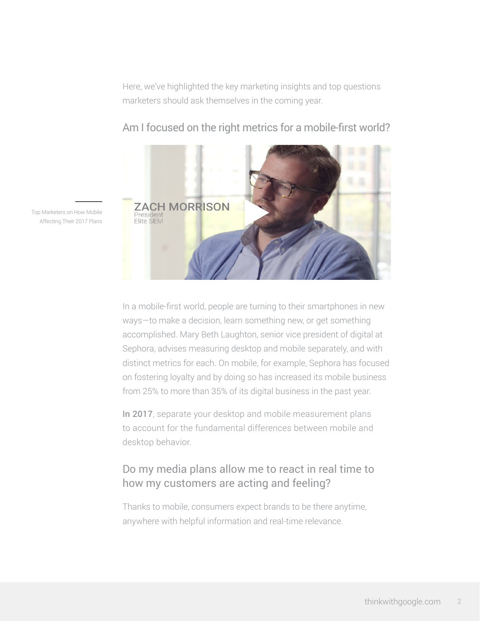Here, we've highlighted the key marketing insights and top questions marketers should ask themselves in the coming year.



Am I focused on the right metrics for a mobile-first world?

Top Marketers on How Mobile Affecting Their 2017 Plans

> In a mobile-first world, people are turning to their smartphones in new ways—to make a decision, learn something new, or get something accomplished. Mary Beth Laughton, senior vice president of digital at Sephora, advises measuring desktop and mobile separately, and with distinct metrics for each. On mobile, for example, Sephora has focused on fostering loyalty and by doing so has increased its mobile business from 25% to more than 35% of its digital business in the past year.

In 2017, separate your desktop and mobile measurement plans to account for the fundamental differences between mobile and desktop behavior.

## Do my media plans allow me to react in real time to how my customers are acting and feeling?

Thanks to mobile, consumers expect brands to be there anytime, anywhere with helpful information and real-time relevance.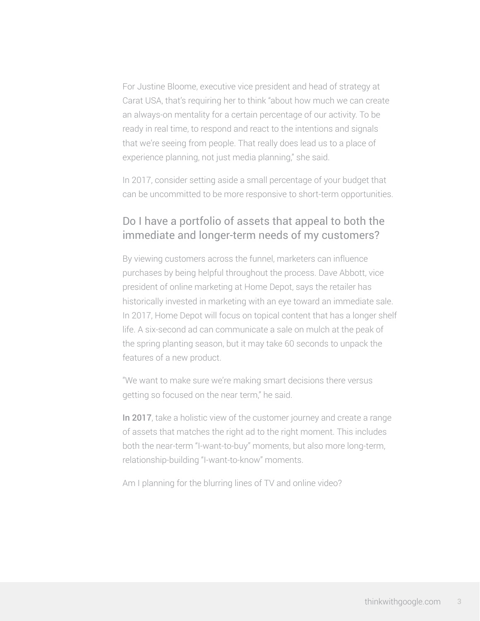For Justine Bloome, executive vice president and head of strategy at Carat USA, that's requiring her to think "about how much we can create an always-on mentality for a certain percentage of our activity. To be ready in real time, to respond and react to the intentions and signals that we're seeing from people. That really does lead us to a place of experience planning, not just media planning," she said.

In 2017, consider setting aside a small percentage of your budget that can be uncommitted to be more responsive to short-term opportunities.

#### Do I have a portfolio of assets that appeal to both the immediate and longer-term needs of my customers?

By viewing customers across the funnel, marketers can influence purchases by being helpful throughout the process. Dave Abbott, vice president of online marketing at Home Depot, says the retailer has historically invested in marketing with an eye toward an immediate sale. In 2017, Home Depot will focus on topical content that has a longer shelf life. A six-second ad can communicate a sale on mulch at the peak of the spring planting season, but it may take 60 seconds to unpack the features of a new product.

"We want to make sure we're making smart decisions there versus getting so focused on the near term," he said.

In 2017, take a holistic view of the customer journey and create a range of assets that matches the right ad to the right moment. This includes both the near-term "I-want-to-buy" moments, but also more long-term, relationship-building "I-want-to-know" moments.

Am I planning for the blurring lines of TV and online video?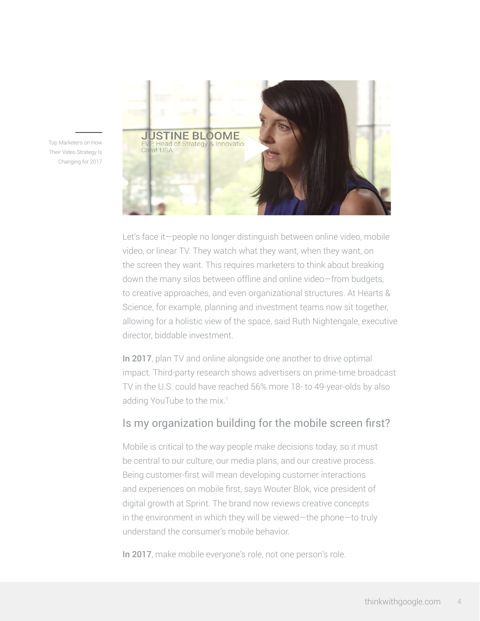

Top Marketers on How Their Video Strategy Is Changing for 2017

> Let's face it—people no longer distinguish between online video, mobile video, or linear TV. They watch what they want, when they want, on the screen they want. This requires marketers to think about breaking down the many silos between offline and online video—from budgets, to creative approaches, and even organizational structures. At Hearts & Science, for example, planning and investment teams now sit together, allowing for a holistic view of the space, said Ruth Nightengale, executive director, biddable investment.

> In 2017, plan TV and online alongside one another to drive optimal impact. Third-party research shows advertisers on prime-time broadcast TV in the U.S. could have reached 56% more 18- to 49-year-olds by also adding YouTube to the mix.<sup>1</sup>

### Is my organization building for the mobile screen first?

Mobile is critical to the way people make decisions today, so it must be central to our culture, our media plans, and our creative process. Being customer-first will mean developing customer interactions and experiences on mobile first, says Wouter Blok, vice president of digital growth at Sprint. The brand now reviews creative concepts in the environment in which they will be viewed—the phone—to truly understand the consumer's mobile behavior.

In 2017, make mobile everyone's role, not one person's role.